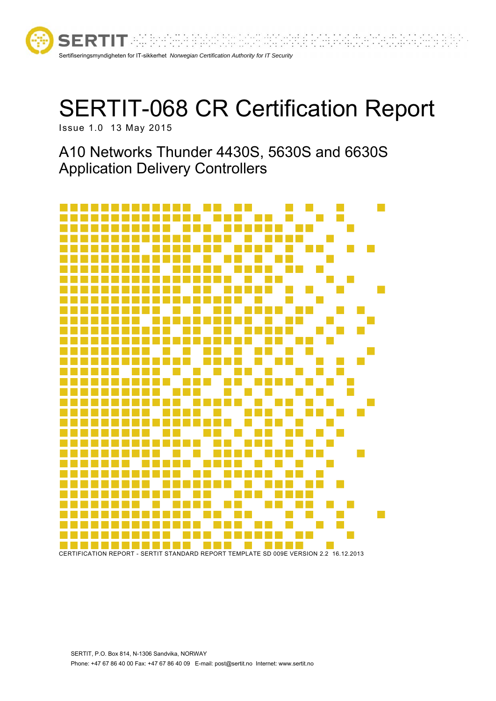

# SERTIT-068 CR Certification Report

Issue 1.0 13 May 2015

A10 Networks Thunder 4430S, 5630S and 6630S Application Delivery Controllers



CERTIFICATION REPORT - SERTIT STANDARD REPORT TEMPLATE SD 009E VERSION 2.2 16.12.2013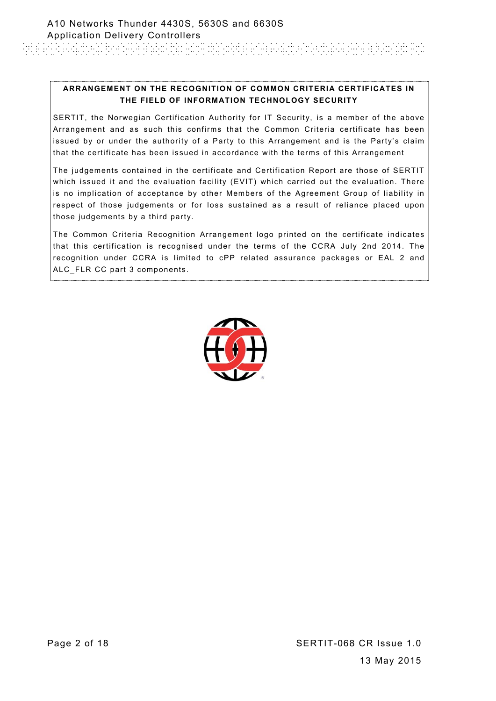#### **ARRANGEMENT ON THE RECOGNITION OF COMMON CRITERIA CERTIFICATES IN THE FIELD OF INFORMATION TECHNOLOGY SECURITY**

SERTIT, the Norwegian Certification Authority for IT Security, is a member of the above Arrangement and as such this confirms that the Common Criteria certificate has been issued by or under the authority of a Party to this Arrangement and is the Party's claim that the certificate has been issued in accordance with the terms of this Arrangement

The judgements contained in the certificate and Certification Report are those of SERTIT which issued it and the evaluation facility (EVIT) which carried out the evaluation. There is no implication of acceptance by other Members of the Agreement Group of liability in respect of those judgements or for loss sustained as a result of reliance placed upon those judgements by a third party.

The Common Criteria Recognition Arrangement logo printed on the certificate indicates that this certification is recognised under the terms of the CCRA July 2nd 2014. The recognition under CCRA is limited to cPP related assurance packages or EAL 2 and ALC\_FLR CC part 3 components.

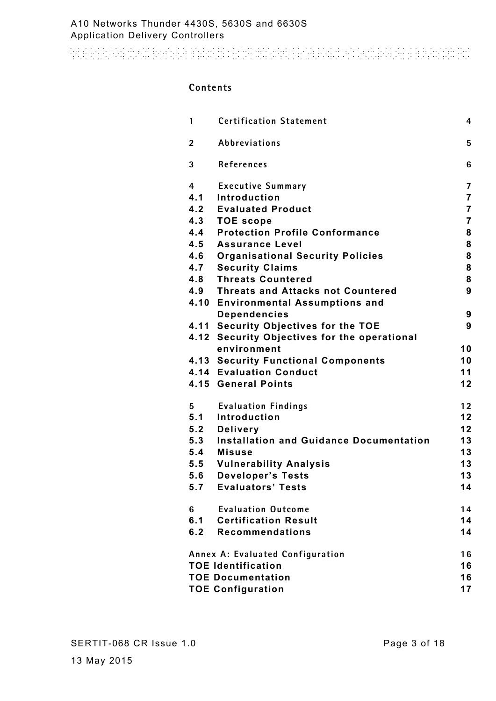and an electronic boson a polynomic distribution of the action of the control of the control distribution and

#### **Contents**

| 1                                       | <b>Certification Statement</b>                 | 4              |
|-----------------------------------------|------------------------------------------------|----------------|
| $\overline{2}$                          | Abbreviations                                  | 5              |
| 3                                       | References                                     | 6              |
| 4                                       | <b>Executive Summary</b>                       | 7              |
| 4.1                                     | Introduction                                   | $\overline{7}$ |
|                                         | 4.2 Evaluated Product                          | $\overline{7}$ |
|                                         | 4.3 TOE scope                                  | $\overline{7}$ |
| 4.4                                     | <b>Protection Profile Conformance</b>          | 8              |
| 4.5                                     | <b>Assurance Level</b>                         | 8              |
| 4.6                                     | <b>Organisational Security Policies</b>        | 8              |
|                                         | 4.7 Security Claims                            | 8              |
|                                         | 4.8 Threats Countered                          | 8              |
|                                         | 4.9 Threats and Attacks not Countered          | 9              |
|                                         | 4.10 Environmental Assumptions and             |                |
|                                         | <b>Dependencies</b>                            | 9              |
|                                         | 4.11 Security Objectives for the TOE           | 9              |
|                                         | 4.12 Security Objectives for the operational   |                |
|                                         | environment                                    | 10             |
|                                         | <b>4.13 Security Functional Components</b>     | 10             |
|                                         | <b>4.14 Evaluation Conduct</b>                 | 11             |
|                                         | 4.15 General Points                            | 12             |
| 5                                       | <b>Evaluation Findings</b>                     | 12             |
| 5.1                                     | Introduction                                   | 12             |
| 5.2                                     | <b>Delivery</b>                                | 12             |
| 5.3                                     | <b>Installation and Guidance Documentation</b> | 13             |
|                                         | 5.4 Misuse                                     | 13             |
| 5.5                                     | <b>Vulnerability Analysis</b>                  | 13             |
| 5.6                                     | <b>Developer's Tests</b>                       | 13             |
| 5.7                                     | <b>Evaluators' Tests</b>                       | 14             |
| 6                                       | <b>Evaluation Outcome</b>                      | 14             |
| 6.1                                     | <b>Certification Result</b>                    | 14             |
| 6.2                                     | <b>Recommendations</b>                         | 14             |
| <b>Annex A: Evaluated Configuration</b> |                                                |                |
|                                         | <b>TOE Identification</b>                      | 16             |
| <b>TOE Documentation</b><br>16          |                                                |                |
| <b>TOE Configuration</b><br>17          |                                                |                |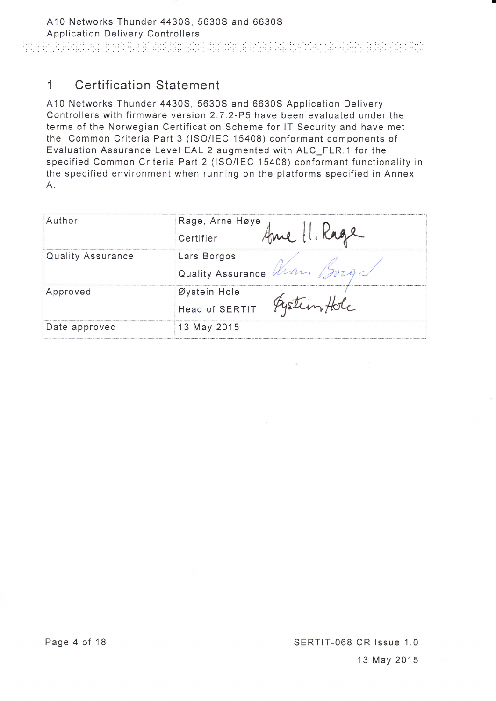# 1 Certification Statement

A10 Networks Thunder 4430S, 5630S and 6630S Application Delivery Controllers with firmware version 2.7.2-P5 have been evaluated under the terms of the Norwegian Certification Scheme for lT Security and have met the Common Criteria Part 3 (lSO/lEC 15408) conformant components of Evaluation Assurance Level EAL 2 augmented with ALC\_FLR.1 for the specified Common Criteria Part 2 (lSO/lEC 15408) conformant functionality in the specified environment when running on the platforms specified in Annex  $A<sub>1</sub>$ 

| Author            | Rage, Arne Høye<br>Certifier |
|-------------------|------------------------------|
| Quality Assurance | Lars Borgos                  |
|                   | Quality Assurance Kim Borg   |
| Approved          | Øystein Hole                 |
|                   | Head of SERTIT Pystim Hole   |
| Date approved     | 13 May 2015                  |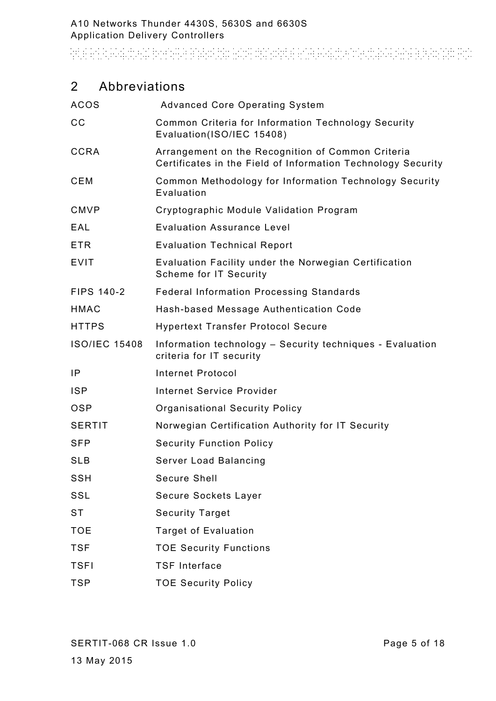And an actual behavior and the distribution of the control of the control of the second state and

# 2 Abbreviations

| <b>ACOS</b>          | <b>Advanced Core Operating System</b>                                                                             |
|----------------------|-------------------------------------------------------------------------------------------------------------------|
| CС                   | Common Criteria for Information Technology Security<br>Evaluation(ISO/IEC 15408)                                  |
| <b>CCRA</b>          | Arrangement on the Recognition of Common Criteria<br>Certificates in the Field of Information Technology Security |
| CEM                  | Common Methodology for Information Technology Security<br>Evaluation                                              |
| <b>CMVP</b>          | Cryptographic Module Validation Program                                                                           |
| EAL                  | <b>Evaluation Assurance Level</b>                                                                                 |
| <b>ETR</b>           | <b>Evaluation Technical Report</b>                                                                                |
| <b>EVIT</b>          | Evaluation Facility under the Norwegian Certification<br>Scheme for IT Security                                   |
| <b>FIPS 140-2</b>    | <b>Federal Information Processing Standards</b>                                                                   |
| <b>HMAC</b>          | Hash-based Message Authentication Code                                                                            |
| <b>HTTPS</b>         | <b>Hypertext Transfer Protocol Secure</b>                                                                         |
| <b>ISO/IEC 15408</b> | Information technology - Security techniques - Evaluation<br>criteria for IT security                             |
| IP                   | <b>Internet Protocol</b>                                                                                          |
| <b>ISP</b>           | <b>Internet Service Provider</b>                                                                                  |
| <b>OSP</b>           | <b>Organisational Security Policy</b>                                                                             |
| <b>SERTIT</b>        | Norwegian Certification Authority for IT Security                                                                 |
| <b>SFP</b>           | <b>Security Function Policy</b>                                                                                   |
| <b>SLB</b>           | Server Load Balancing                                                                                             |
| SSH                  | Secure Shell                                                                                                      |
| SSL                  | Secure Sockets Layer                                                                                              |
| <b>ST</b>            | <b>Security Target</b>                                                                                            |
| <b>TOE</b>           | <b>Target of Evaluation</b>                                                                                       |
| <b>TSF</b>           | <b>TOE Security Functions</b>                                                                                     |
| <b>TSFI</b>          | <b>TSF Interface</b>                                                                                              |
| <b>TSP</b>           | <b>TOE Security Policy</b>                                                                                        |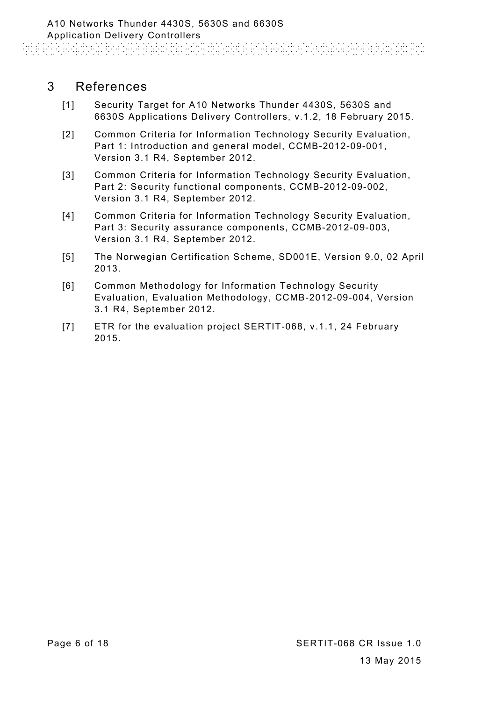# 3 References

- [1] Security Target for A10 Networks Thunder 4430S, 5630S and 6630S Applications Delivery Controllers, v.1.2, 18 February 2015.
- [2] Common Criteria for Information Technology Security Evaluation, Part 1: Introduction and general model, CCMB-2012-09-001, Version 3.1 R4, September 2012.
- [3] Common Criteria for Information Technology Security Evaluation, Part 2: Security functional components, CCMB-2012-09-002, Version 3.1 R4, September 2012.
- [4] Common Criteria for Information Technology Security Evaluation, Part 3: Security assurance components, CCMB-2012-09-003, Version 3.1 R4, September 2012.
- [5] The Norwegian Certification Scheme, SD001E, Version 9.0, 02 April 2013.
- [6] Common Methodology for Information Technology Security Evaluation, Evaluation Methodology, CCMB-2012-09-004, Version 3.1 R4, September 2012.
- [7] ETR for the evaluation project SERTIT-068, v.1.1, 24 February 2015.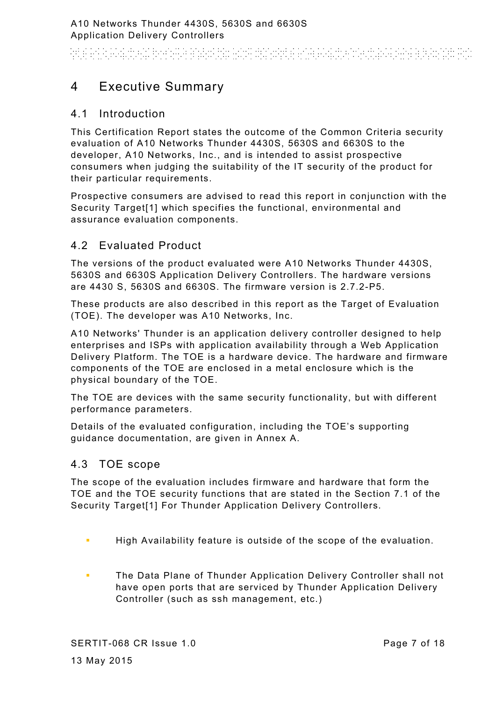and a constitution of the state of the state and the state of the state of the state of the state

# 4 Executive Summary

## 4.1 Introduction

This Certification Report states the outcome of the Common Criteria security evaluation of A10 Networks Thunder 4430S, 5630S and 6630S to the developer, A10 Networks, Inc., and is intended to assist prospective consumers when judging the suitability of the IT security of the product for their particular requirements.

Prospective consumers are advised to read this report in conjunction with the Security Target[1] which specifies the functional, environmental and assurance evaluation components.

# 4.2 Evaluated Product

The versions of the product evaluated were A10 Networks Thunder 4430S, 5630S and 6630S Application Delivery Controllers. The hardware versions are 4430 S, 5630S and 6630S. The firmware version is 2.7.2-P5.

These products are also described in this report as the Target of Evaluation (TOE). The developer was A10 Networks, Inc.

A10 Networks' Thunder is an application delivery controller designed to help enterprises and ISPs with application availability through a Web Application Delivery Platform. The TOE is a hardware device. The hardware and firmware components of the TOE are enclosed in a metal enclosure which is the physical boundary of the TOE.

The TOE are devices with the same security functionality, but with different performance parameters.

Details of the evaluated configuration, including the TOE's supporting guidance documentation, are given in Annex A.

## 4.3 TOE scope

The scope of the evaluation includes firmware and hardware that form the TOE and the TOE security functions that are stated in the Section 7.1 of the Security Target[1] For Thunder Application Delivery Controllers.

- **High Availability feature is outside of the scope of the evaluation.**
- **The Data Plane of Thunder Application Delivery Controller shall not** have open ports that are serviced by Thunder Application Delivery Controller (such as ssh management, etc.)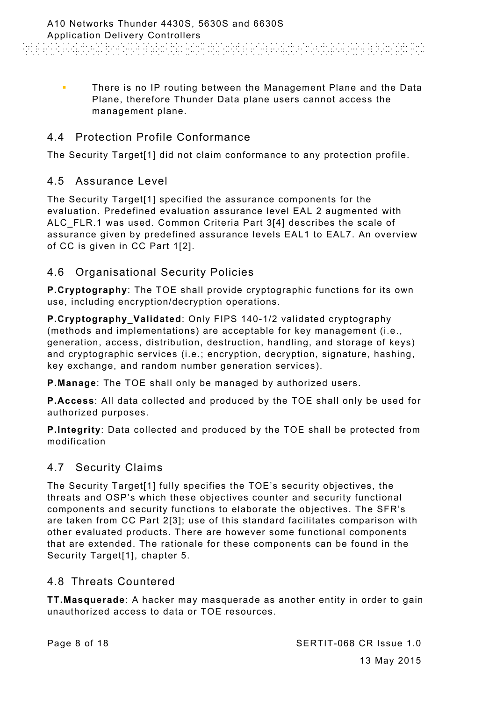**There is no IP routing between the Management Plane and the Data** Plane, therefore Thunder Data plane users cannot access the management plane.

# 4.4 Protection Profile Conformance

The Security Target[1] did not claim conformance to any protection profile.

# 4.5 Assurance Level

The Security Target[1] specified the assurance components for the evaluation. Predefined evaluation assurance level EAL 2 augmented with ALC\_FLR.1 was used. Common Criteria Part 3[4] describes the scale of assurance given by predefined assurance levels EAL1 to EAL7. An overview of CC is given in CC Part 1[2].

# 4.6 Organisational Security Policies

**P.Cryptography**: The TOE shall provide cryptographic functions for its own use, including encryption/decryption operations.

**P.Cryptography\_Validated**: Only FIPS 140-1/2 validated cryptography (methods and implementations) are acceptable for key management (i.e., generation, access, distribution, destruction, handling, and storage of keys) and cryptographic services (i.e.; encryption, decryption, signature, hashing, key exchange, and random number generation services).

**P.Manage**: The TOE shall only be managed by authorized users.

**P.Access**: All data collected and produced by the TOE shall only be used for authorized purposes.

**P.Integrity**: Data collected and produced by the TOE shall be protected from modification

## 4.7 Security Claims

The Security Target[1] fully specifies the TOE's security objectives, the threats and OSP's which these objectives counter and security functional components and security functions to elaborate the objectives. The SFR's are taken from CC Part 2[3]; use of this standard facilitates comparison with other evaluated products. There are however some functional components that are extended. The rationale for these components can be found in the Security Target[1], chapter 5.

# 4.8 Threats Countered

**TT.Masquerade**: A hacker may masquerade as another entity in order to gain unauthorized access to data or TOE resources.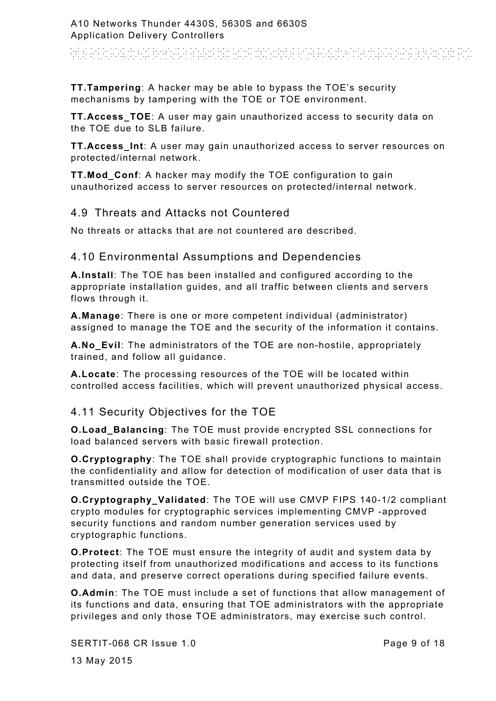# And a constant for the analysis and distance and activities to detect and a new

**TT.Tampering**: A hacker may be able to bypass the TOE's security mechanisms by tampering with the TOE or TOE environment.

**TT.Access TOE:** A user may gain unauthorized access to security data on the TOE due to SLB failure.

**TT.Access\_Int**: A user may gain unauthorized access to server resources on protected/internal network.

**TT.Mod\_Conf**: A hacker may modify the TOE configuration to gain unauthorized access to server resources on protected/internal network.

#### 4.9 Threats and Attacks not Countered

No threats or attacks that are not countered are described.

#### 4.10 Environmental Assumptions and Dependencies

**A.Install**: The TOE has been installed and configured according to the appropriate installation guides, and all traffic between clients and servers flows through it.

**A.Manage**: There is one or more competent individual (administrator) assigned to manage the TOE and the security of the information it contains.

**A.No\_Evil**: The administrators of the TOE are non-hostile, appropriately trained, and follow all guidance.

**A.Locate**: The processing resources of the TOE will be located within controlled access facilities, which will prevent unauthorized physical access.

#### 4.11 Security Objectives for the TOE

**O.Load\_Balancing**: The TOE must provide encrypted SSL connections for load balanced servers with basic firewall protection.

**O.Cryptography**: The TOE shall provide cryptographic functions to maintain the confidentiality and allow for detection of modification of user data that is transmitted outside the TOE.

**O.Cryptography\_Validated**: The TOE will use CMVP FIPS 140-1/2 compliant crypto modules for cryptographic services implementing CMVP -approved security functions and random number generation services used by cryptographic functions.

**O.Protect**: The TOE must ensure the integrity of audit and system data by protecting itself from unauthorized modifications and access to its functions and data, and preserve correct operations during specified failure events.

**O.Admin**: The TOE must include a set of functions that allow management of its functions and data, ensuring that TOE administrators with the appropriate privileges and only those TOE administrators, may exercise such control.

SERTIT-068 CR Issue 1.0

Page 9 of 18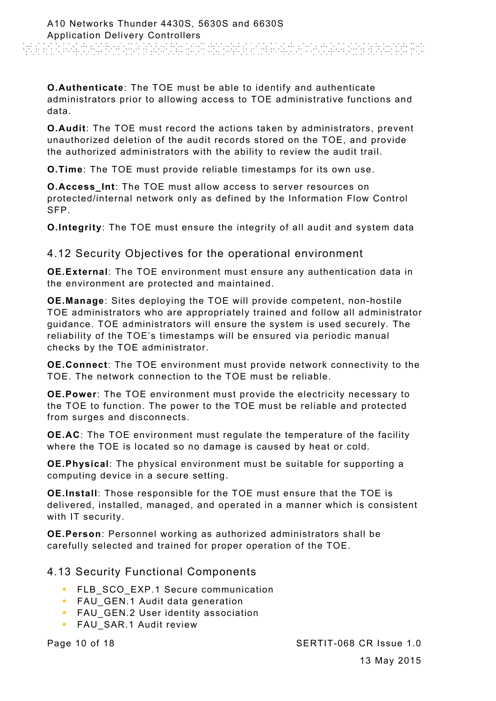**O.Authenticate**: The TOE must be able to identify and authenticate administrators prior to allowing access to TOE administrative functions and data.

**O.Audit**: The TOE must record the actions taken by administrators, prevent unauthorized deletion of the audit records stored on the TOE, and provide the authorized administrators with the ability to review the audit trail.

**O.Time**: The TOE must provide reliable timestamps for its own use.

**O.Access\_Int**: The TOE must allow access to server resources on protected/internal network only as defined by the Information Flow Control SFP.

**O.Integrity**: The TOE must ensure the integrity of all audit and system data

4.12 Security Objectives for the operational environment

**OE.External**: The TOE environment must ensure any authentication data in the environment are protected and maintained.

**OE.Manage**: Sites deploying the TOE will provide competent, non-hostile TOE administrators who are appropriately trained and follow all administrator guidance. TOE administrators will ensure the system is used securely. The reliability of the TOE's timestamps will be ensured via periodic manual checks by the TOE administrator.

**OE.Connect**: The TOE environment must provide network connectivity to the TOE. The network connection to the TOE must be reliable.

**OE.Power**: The TOE environment must provide the electricity necessary to the TOE to function. The power to the TOE must be reliable and protected from surges and disconnects.

**OE.AC**: The TOE environment must regulate the temperature of the facility where the TOE is located so no damage is caused by heat or cold.

**OE.Physical**: The physical environment must be suitable for supporting a computing device in a secure setting.

**OE.Install**: Those responsible for the TOE must ensure that the TOE is delivered, installed, managed, and operated in a manner which is consistent with IT security.

**OE.Person**: Personnel working as authorized administrators shall be carefully selected and trained for proper operation of the TOE.

#### 4.13 Security Functional Components

- **FLB SCO EXP.1 Secure communication**
- **FAU GEN.1 Audit data generation**
- **FAU** GEN.2 User identity association
- **FAU SAR.1 Audit review**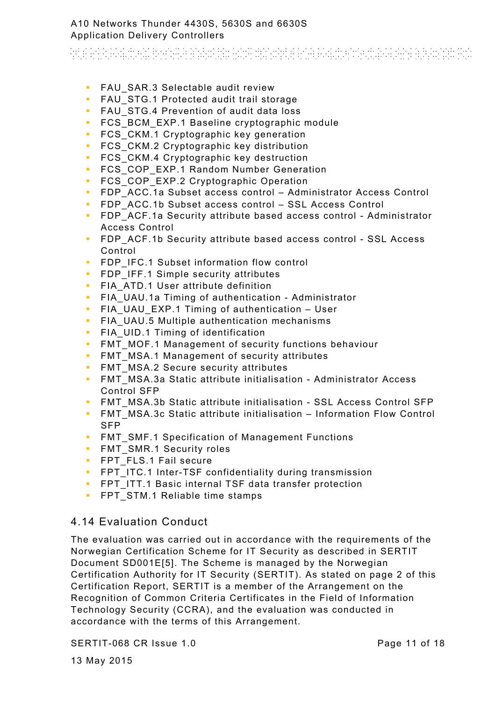And a constant with the analysis and distinguish a calculation and a part of

- **FAU SAR.3 Selectable audit review**
- **FAU STG.1 Protected audit trail storage**
- **FAU STG.4 Prevention of audit data loss**
- **FCS BCM EXP.1 Baseline cryptographic module**
- **FCS** CKM.1 Cryptographic key generation
- **FCS** CKM.2 Cryptographic key distribution
- **FCS** CKM.4 Cryptographic key destruction
- **FCS COP EXP.1 Random Number Generation**
- **FCS COP EXP.2 Cryptographic Operation**
- FDP\_ACC.1a Subset access control Administrator Access Control
- **FDP** ACC.1b Subset access control SSL Access Control
- **FDP** ACF.1a Security attribute based access control Administrator Access Control
- **FIP ACF.1b Security attribute based access control SSL Access** Control
- **FDP\_IFC.1 Subset information flow control**
- **FDP** IFF.1 Simple security attributes
- **FIA\_ATD.1 User attribute definition**
- **FIA** UAU.1a Timing of authentication Administrator
- **FIA UAU EXP.1 Timing of authentication User**
- **FIA UAU.5 Multiple authentication mechanisms**
- **FIA** UID.1 Timing of identification
- **FMT** MOF.1 Management of security functions behaviour
- **FMT** MSA.1 Management of security attributes
- **FMT** MSA.2 Secure security attributes
- **FMT** MSA.3a Static attribute initialisation Administrator Access Control SFP
- **FMT MSA.3b Static attribute initialisation SSL Access Control SFP**
- **FMT** MSA.3c Static attribute initialisation Information Flow Control SFP
- **FMT SMF.1 Specification of Management Functions**
- **FMT\_SMR.1 Security roles**
- **FPT** FLS.1 Fail secure
- **FPT** ITC.1 Inter-TSF confidentiality during transmission
- **FPT** ITT.1 Basic internal TSF data transfer protection
- **FPT** STM.1 Reliable time stamps

## 4.14 Evaluation Conduct

The evaluation was carried out in accordance with the requirements of the Norwegian Certification Scheme for IT Security as described in SERTIT Document SD001E[5]. The Scheme is managed by the Norwegian Certification Authority for IT Security (SERTIT). As stated on page 2 of this Certification Report, SERTIT is a member of the Arrangement on the Recognition of Common Criteria Certificates in the Field of Information Technology Security (CCRA), and the evaluation was conducted in accordance with the terms of this Arrangement.

SERTIT-068 CR Issue 1.0

13 May 2015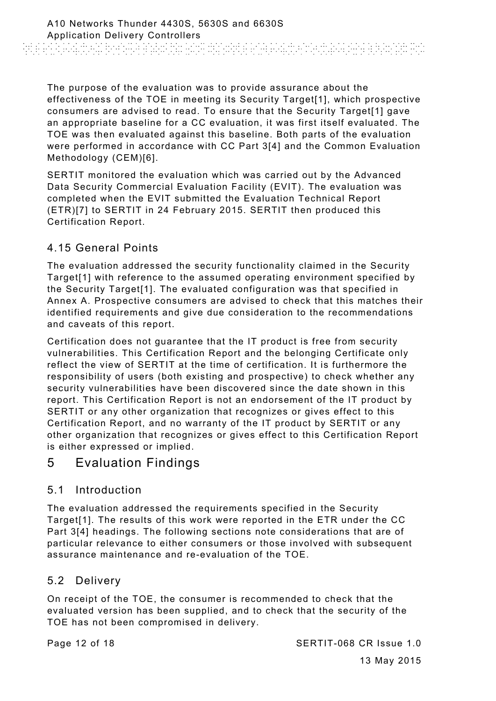The purpose of the evaluation was to provide assurance about the effectiveness of the TOE in meeting its Security Target[1], which prospective consumers are advised to read. To ensure that the Security Target[1] gave an appropriate baseline for a CC evaluation, it was first itself evaluated. The TOE was then evaluated against this baseline. Both parts of the evaluation were performed in accordance with CC Part 3[4] and the Common Evaluation Methodology (CEM)[6].

SERTIT monitored the evaluation which was carried out by the Advanced Data Security Commercial Evaluation Facility (EVIT). The evaluation was completed when the EVIT submitted the Evaluation Technical Report (ETR)[7] to SERTIT in 24 February 2015. SERTIT then produced this Certification Report.

# 4.15 General Points

The evaluation addressed the security functionality claimed in the Security Target[1] with reference to the assumed operating environment specified by the Security Target[1]. The evaluated configuration was that specified in Annex A. Prospective consumers are advised to check that this matches their identified requirements and give due consideration to the recommendations and caveats of this report.

Certification does not guarantee that the IT product is free from security vulnerabilities. This Certification Report and the belonging Certificate only reflect the view of SERTIT at the time of certification. It is furthermore the responsibility of users (both existing and prospective) to check whether any security vulnerabilities have been discovered since the date shown in this report. This Certification Report is not an endorsement of the IT product by SERTIT or any other organization that recognizes or gives effect to this Certification Report, and no warranty of the IT product by SERTIT or any other organization that recognizes or gives effect to this Certification Report is either expressed or implied.

# 5 Evaluation Findings

## 5.1 Introduction

The evaluation addressed the requirements specified in the Security Target[1]. The results of this work were reported in the ETR under the CC Part 3[4] headings. The following sections note considerations that are of particular relevance to either consumers or those involved with subsequent assurance maintenance and re-evaluation of the TOE.

## 5.2 Delivery

On receipt of the TOE, the consumer is recommended to check that the evaluated version has been supplied, and to check that the security of the TOE has not been compromised in delivery.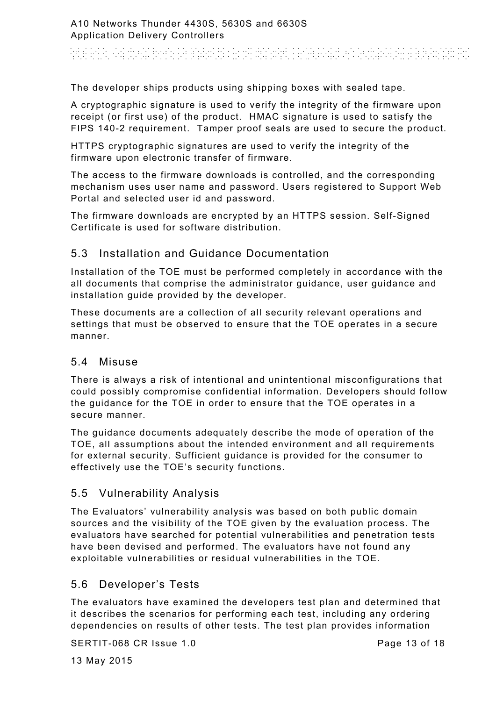# an di bandara dan berbagai dapat pendapat berbagai beraku pendapat beraku pendapat beraku dan beraku dan berak<br>Sebagai beraku dan beraku dan beraku dalam beraku dan beraku dalam beraku dan beraku dan beraku dalam beraku d

The developer ships products using shipping boxes with sealed tape.

A cryptographic signature is used to verify the integrity of the firmware upon receipt (or first use) of the product. HMAC signature is used to satisfy the FIPS 140-2 requirement. Tamper proof seals are used to secure the product.

HTTPS cryptographic signatures are used to verify the integrity of the firmware upon electronic transfer of firmware.

The access to the firmware downloads is controlled, and the corresponding mechanism uses user name and password. Users registered to Support Web Portal and selected user id and password.

The firmware downloads are encrypted by an HTTPS session. Self-Signed Certificate is used for software distribution.

# 5.3 Installation and Guidance Documentation

Installation of the TOE must be performed completely in accordance with the all documents that comprise the administrator guidance, user guidance and installation guide provided by the developer.

These documents are a collection of all security relevant operations and settings that must be observed to ensure that the TOE operates in a secure manner.

#### 5.4 Misuse

There is always a risk of intentional and unintentional misconfigurations that could possibly compromise confidential information. Developers should follow the guidance for the TOE in order to ensure that the TOE operates in a secure manner.

The guidance documents adequately describe the mode of operation of the TOE, all assumptions about the intended environment and all requirements for external security. Sufficient guidance is provided for the consumer to effectively use the TOE's security functions.

## 5.5 Vulnerability Analysis

The Evaluators' vulnerability analysis was based on both public domain sources and the visibility of the TOE given by the evaluation process. The evaluators have searched for potential vulnerabilities and penetration tests have been devised and performed. The evaluators have not found any exploitable vulnerabilities or residual vulnerabilities in the TOE.

## 5.6 Developer's Tests

The evaluators have examined the developers test plan and determined that it describes the scenarios for performing each test, including any ordering dependencies on results of other tests. The test plan provides information

SERTIT-068 CR Issue 1.0

13 May 2015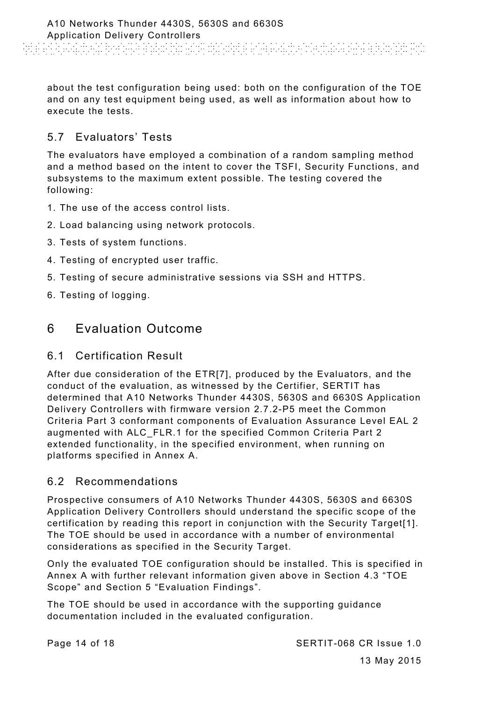about the test configuration being used: both on the configuration of the TOE and on any test equipment being used, as well as information about how to execute the tests.

# 5.7 Evaluators' Tests

The evaluators have employed a combination of a random sampling method and a method based on the intent to cover the TSFI, Security Functions, and subsystems to the maximum extent possible. The testing covered the following:

- 1. The use of the access control lists.
- 2. Load balancing using network protocols.
- 3. Tests of system functions.
- 4. Testing of encrypted user traffic.
- 5. Testing of secure administrative sessions via SSH and HTTPS.
- 6. Testing of logging.

# 6 Evaluation Outcome

#### 6.1 Certification Result

After due consideration of the ETR[7], produced by the Evaluators, and the conduct of the evaluation, as witnessed by the Certifier, SERTIT has determined that A10 Networks Thunder 4430S, 5630S and 6630S Application Delivery Controllers with firmware version 2.7.2-P5 meet the Common Criteria Part 3 conformant components of Evaluation Assurance Level EAL 2 augmented with ALC\_FLR.1 for the specified Common Criteria Part 2 extended functionality, in the specified environment, when running on platforms specified in Annex A.

#### 6.2 Recommendations

Prospective consumers of A10 Networks Thunder 4430S, 5630S and 6630S Application Delivery Controllers should understand the specific scope of the certification by reading this report in conjunction with the Security Target[1]. The TOE should be used in accordance with a number of environmental considerations as specified in the Security Target.

Only the evaluated TOE configuration should be installed. This is specified in Annex A with further relevant information given above in Section 4.3 "TOE Scope" and Section 5 "Evaluation Findings".

The TOE should be used in accordance with the supporting guidance documentation included in the evaluated configuration.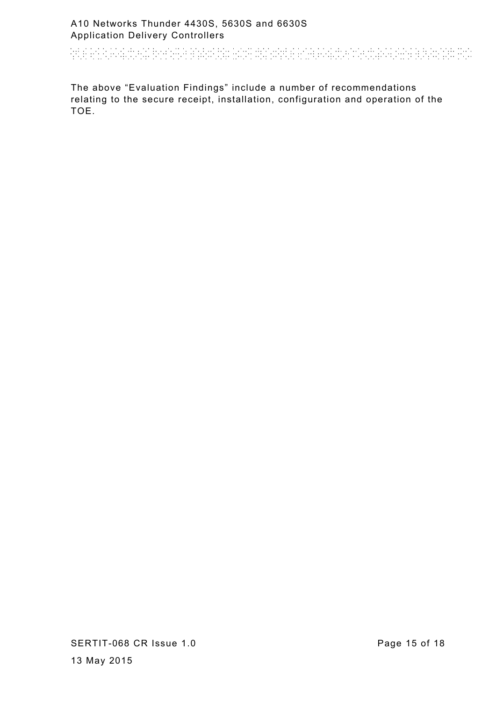And an actual behavior and the distribution of the control of the control of the second state and

The above "Evaluation Findings" include a number of recommendations relating to the secure receipt, installation, configuration and operation of the TOE.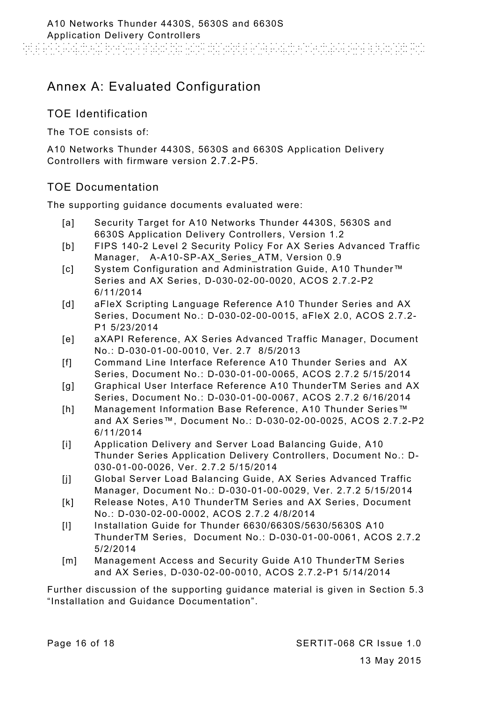# Annex A: Evaluated Configuration

## TOE Identification

The TOE consists of:

A10 Networks Thunder 4430S, 5630S and 6630S Application Delivery Controllers with firmware version 2.7.2-P5.

#### TOE Documentation

The supporting guidance documents evaluated were:

- [a] Security Target for A10 Networks Thunder 4430S, 5630S and 6630S Application Delivery Controllers, Version 1.2
- [b] FIPS 140-2 Level 2 Security Policy For AX Series Advanced Traffic Manager, A-A10-SP-AX\_Series\_ATM, Version 0.9
- [c] System Configuration and Administration Guide, A10 Thunder™ Series and AX Series, D-030-02-00-0020, ACOS 2.7.2-P2 6/11/2014
- [d] aFleX Scripting Language Reference A10 Thunder Series and AX Series, Document No.: D-030-02-00-0015, aFleX 2.0, ACOS 2.7.2- P1 5/23/2014
- [e] aXAPI Reference, AX Series Advanced Traffic Manager, Document No.: D-030-01-00-0010, Ver. 2.7 8/5/2013
- [f] Command Line Interface Reference A10 Thunder Series and AX Series, Document No.: D-030-01-00-0065, ACOS 2.7.2 5/15/2014
- [g] Graphical User Interface Reference A10 ThunderTM Series and AX Series, Document No.: D-030-01-00-0067, ACOS 2.7.2 6/16/2014
- [h] Management Information Base Reference, A10 Thunder Series™ and AX Series™, Document No.: D-030-02-00-0025, ACOS 2.7.2-P2 6/11/2014
- [i] Application Delivery and Server Load Balancing Guide, A10 Thunder Series Application Delivery Controllers, Document No.: D-030-01-00-0026, Ver. 2.7.2 5/15/2014
- [j] Global Server Load Balancing Guide, AX Series Advanced Traffic Manager, Document No.: D-030-01-00-0029, Ver. 2.7.2 5/15/2014
- [k] Release Notes, A10 ThunderTM Series and AX Series, Document No.: D-030-02-00-0002, ACOS 2.7.2 4/8/2014
- [l] Installation Guide for Thunder 6630/6630S/5630/5630S A10 ThunderTM Series, Document No.: D-030-01-00-0061, ACOS 2.7.2 5/2/2014
- [m] Management Access and Security Guide A10 ThunderTM Series and AX Series, D-030-02-00-0010, ACOS 2.7.2-P1 5/14/2014

Further discussion of the supporting guidance material is given in Section 5.3 "Installation and Guidance Documentation".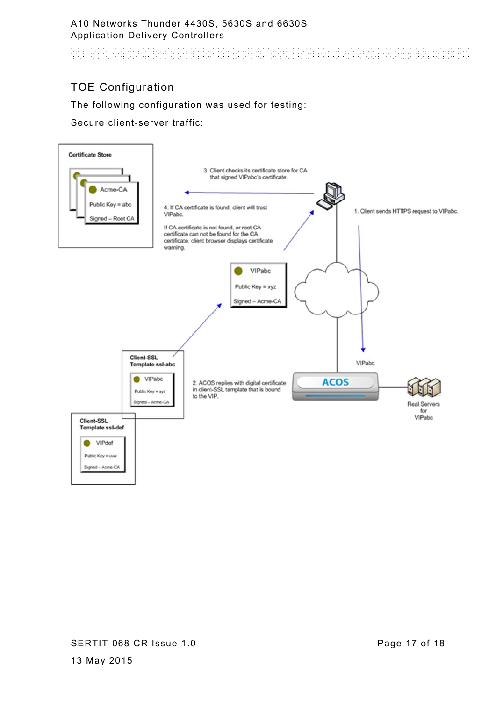And an actual behavior and the distribution of the control of the control of the second state and

# TOE Configuration

#### The following configuration was used for testing:

Secure client-server traffic: